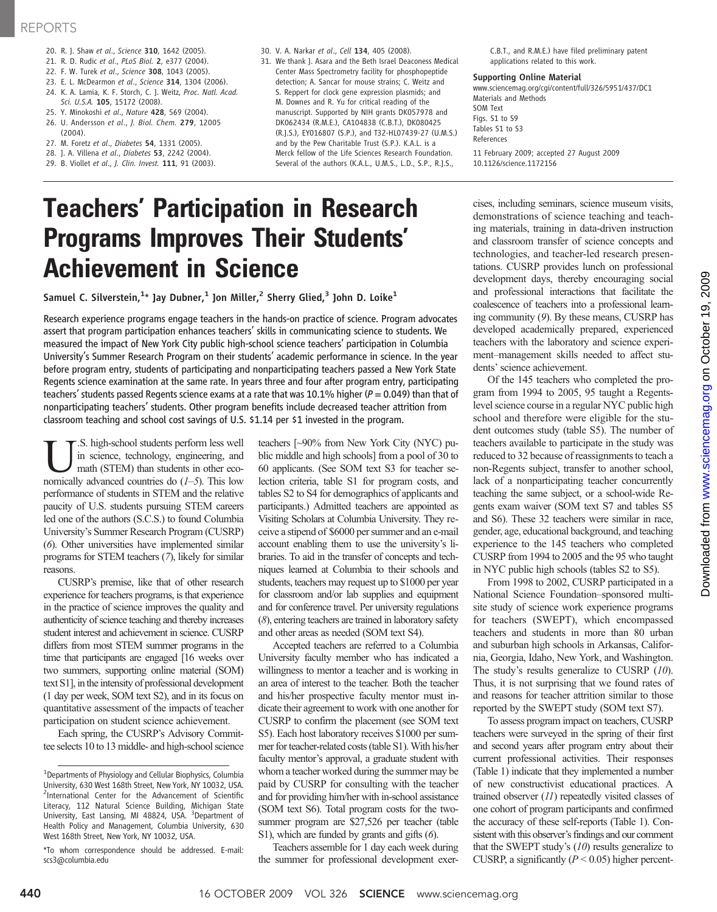## REPORTS

- 20. R. J. Shaw et al., Science 310, 1642 (2005).
- 21. R. D. Rudic et al., PLoS Biol. 2, e377 (2004).
- 22. F. W. Turek et al., Science 308, 1043 (2005).
- 23. E. L. McDearmon et al., Science 314, 1304 (2006).
- 24. K. A. Lamia, K. F. Storch, C. J. Weitz, Proc. Natl. Acad. Sci. U.S.A. 105, 15172 (2008).
- 25. Y. Minokoshi et al., Nature 428, 569 (2004).
- 26. U. Andersson et al., J. Biol. Chem. 279, 12005 (2004).
- 27. M. Foretz et al., Diabetes 54, 1331 (2005).
- 28. J. A. Villena et al., Diabetes 53, 2242 (2004).
- 29. B. Viollet et al., J. Clin. Invest. 111, 91 (2003).
- 30. V. A. Narkar et al., Cell 134, 405 (2008).
- 31. We thank J. Asara and the Beth Israel Deaconess Medical Center Mass Spectrometry facility for phosphopeptide detection; A. Sancar for mouse strains; C. Weitz and S. Reppert for clock gene expression plasmids; and M. Downes and R. Yu for critical reading of the manuscript. Supported by NIH grants DK057978 and DK062434 (R.M.E.), CA104838 (C.B.T.), DK080425 (R.J.S.), EY016807 (S.P.), and T32-HL07439-27 (U.M.S.) and by the Pew Charitable Trust (S.P.). K.A.L. is a Merck fellow of the Life Sciences Research Foundation. Several of the authors (K.A.L., U.M.S., L.D., S.P., R.J.S.,

C.B.T., and R.M.E.) have filed preliminary patent applications related to this work.

#### Supporting Online Material

www.sciencemag.org/cgi/content/full/326/5951/437/DC1 Materials and Methods SOM Text Figs. S1 to S9 Tables S1 to S3 References

cises, including seminars, science museum visits, demonstrations of science teaching and teaching materials, training in data-driven instruction and classroom transfer of science concepts and technologies, and teacher-led research presentations. CUSRP provides lunch on professional development days, thereby encouraging social and professional interactions that facilitate the

11 February 2009; accepted 27 August 2009 10.1126/science.1172156

# Teachers' Participation in Research Programs Improves Their Students' Achievement in Science

Samuel C. Silverstein, $^{1\star}$  Jay Dubner, $^{1}$  Jon Miller, $^{2}$  Sherry Glied, $^{3}$  John D. Loike $^{1}$ 

Research experience programs engage teachers in the hands-on practice of science. Program advocates assert that program participation enhances teachers' skills in communicating science to students. We measured the impact of New York City public high-school science teachers' participation in Columbia University's Summer Research Program on their students' academic performance in science. In the year before program entry, students of participating and nonparticipating teachers passed a New York State Regents science examination at the same rate. In years three and four after program entry, participating teachers' students passed Regents science exams at a rate that was 10.1% higher ( $P = 0.049$ ) than that of nonparticipating teachers' students. Other program benefits include decreased teacher attrition from classroom teaching and school cost savings of U.S. \$1.14 per \$1 invested in the program.

U.S. high-school students perform less well<br>in science, technology, engineering, and<br>math (STEM) than students in other eco-<br>nomically advanced countries do (1–5). This low in science, technology, engineering, and nomically advanced countries do  $(1-5)$ . This low performance of students in STEM and the relative paucity of U.S. students pursuing STEM careers led one of the authors (S.C.S.) to found Columbia University's Summer Research Program (CUSRP) (6). Other universities have implemented similar programs for STEM teachers (7), likely for similar reasons.

CUSRP's premise, like that of other research experience for teachers programs, is that experience in the practice of science improves the quality and authenticity of science teaching and thereby increases student interest and achievement in science. CUSRP differs from most STEM summer programs in the time that participants are engaged [16 weeks over two summers, supporting online material (SOM) text S1], in the intensity of professional development (1 day per week, SOM text S2), and in its focus on quantitative assessment of the impacts of teacher participation on student science achievement.

Each spring, the CUSRP's Advisory Committee selects 10 to 13 middle- and high-school science teachers [~90% from New York City (NYC) public middle and high schools] from a pool of 30 to 60 applicants. (See SOM text S3 for teacher selection criteria, table S1 for program costs, and tables S2 to S4 for demographics of applicants and participants.) Admitted teachers are appointed as Visiting Scholars at Columbia University. They receive a stipend of \$6000 per summer and an e-mail account enabling them to use the university's libraries. To aid in the transfer of concepts and techniques learned at Columbia to their schools and students, teachers may request up to \$1000 per year for classroom and/or lab supplies and equipment and for conference travel. Per university regulations (8), entering teachers are trained in laboratory safety and other areas as needed (SOM text S4).

Accepted teachers are referred to a Columbia University faculty member who has indicated a willingness to mentor a teacher and is working in an area of interest to the teacher. Both the teacher and his/her prospective faculty mentor must indicate their agreement to work with one another for CUSRP to confirm the placement (see SOM text S5). Each host laboratory receives \$1000 per summer for teacher-related costs (table S1).With his/her faculty mentor's approval, a graduate student with whom a teacher worked during the summer may be paid by CUSRP for consulting with the teacher and for providing him/her with in-school assistance (SOM text S6). Total program costs for the twosummer program are \$27,526 per teacher (table S1), which are funded by grants and gifts  $(6)$ .

Teachers assemble for 1 day each week during the summer for professional development exercoalescence of teachers into a professional learning community (9). By these means, CUSRP has developed academically prepared, experienced teachers with the laboratory and science experiment–management skills needed to affect students' science achievement. Of the 145 teachers who completed the program from 1994 to 2005, 95 taught a Regentslevel science course in a regular NYC public high school and therefore were eligible for the student outcomes study (table S5). The number of teachers available to participate in the study was reduced to 32 because of reassignments to teach a

non-Regents subject, transfer to another school, lack of a nonparticipating teacher concurrently teaching the same subject, or a school-wide Regents exam waiver (SOM text S7 and tables S5 and S6). These 32 teachers were similar in race, gender, age, educational background, and teaching experience to the 145 teachers who completed CUSRP from 1994 to 2005 and the 95 who taught in NYC public high schools (tables S2 to S5).

From 1998 to 2002, CUSRP participated in a National Science Foundation–sponsored multisite study of science work experience programs for teachers (SWEPT), which encompassed teachers and students in more than 80 urban and suburban high schools in Arkansas, California, Georgia, Idaho, New York, and Washington. The study's results generalize to CUSRP (10). Thus, it is not surprising that we found rates of and reasons for teacher attrition similar to those reported by the SWEPT study (SOM text S7).

To assess program impact on teachers, CUSRP teachers were surveyed in the spring of their first and second years after program entry about their current professional activities. Their responses (Table 1) indicate that they implemented a number of new constructivist educational practices. A trained observer (11) repeatedly visited classes of one cohort of program participants and confirmed the accuracy of these self-reports (Table 1). Consistent with this observer's findings and our comment that the SWEPT study's  $(10)$  results generalize to CUSRP, a significantly ( $P < 0.05$ ) higher percent-

<sup>&</sup>lt;sup>1</sup>Departments of Physiology and Cellular Biophysics, Columbia University, 630 West 168th Street, New York, NY 10032, USA. <sup>2</sup>International Center for the Advancement of Scientific Literacy, 112 Natural Science Building, Michigan State University, East Lansing, MI 48824, USA. <sup>3</sup>Department of Health Policy and Management, Columbia University, 630 West 168th Street, New York, NY 10032, USA.

<sup>\*</sup>To whom correspondence should be addressed. E-mail: scs3@columbia.edu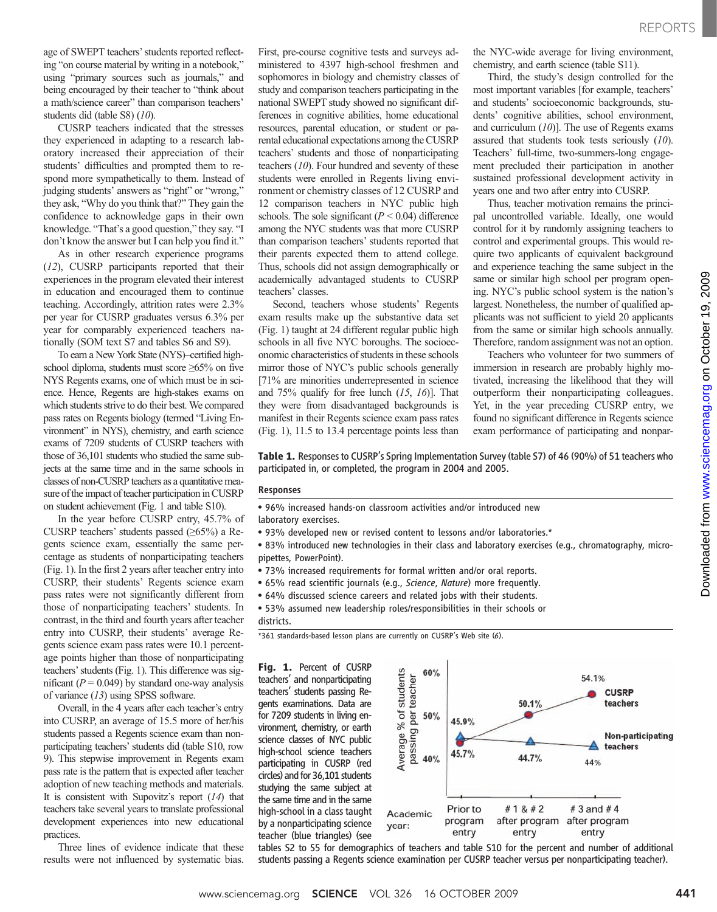age of SWEPT teachers' students reported reflecting "on course material by writing in a notebook," using "primary sources such as journals," and being encouraged by their teacher to "think about a math/science career" than comparison teachers' students did (table S8) (10).

CUSRP teachers indicated that the stresses they experienced in adapting to a research laboratory increased their appreciation of their students' difficulties and prompted them to respond more sympathetically to them. Instead of judging students' answers as "right" or "wrong," they ask, "Why do you think that?" They gain the confidence to acknowledge gaps in their own knowledge. "That's a good question," they say. "I don't know the answer but I can help you find it."

As in other research experience programs (12), CUSRP participants reported that their experiences in the program elevated their interest in education and encouraged them to continue teaching. Accordingly, attrition rates were 2.3% per year for CUSRP graduates versus 6.3% per year for comparably experienced teachers nationally (SOM text S7 and tables S6 and S9).

To earn a New York State (NYS)–certified highschool diploma, students must score ≥65% on five NYS Regents exams, one of which must be in science. Hence, Regents are high-stakes exams on which students strive to do their best. We compared pass rates on Regents biology (termed "Living Environment" in NYS), chemistry, and earth science exams of 7209 students of CUSRP teachers with those of 36,101 students who studied the same subjects at the same time and in the same schools in classes of non-CUSRP teachers as a quantitative measure of the impact of teacher participation in CUSRP on student achievement (Fig. 1 and table S10).

In the year before CUSRP entry, 45.7% of CUSRP teachers' students passed (≥65%) a Regents science exam, essentially the same percentage as students of nonparticipating teachers (Fig. 1). In the first 2 years after teacher entry into CUSRP, their students' Regents science exam pass rates were not significantly different from those of nonparticipating teachers' students. In contrast, in the third and fourth years after teacher entry into CUSRP, their students' average Regents science exam pass rates were 10.1 percentage points higher than those of nonparticipating teachers'students (Fig. 1). This difference was significant ( $P = 0.049$ ) by standard one-way analysis of variance (13) using SPSS software.

Overall, in the 4 years after each teacher's entry into CUSRP, an average of 15.5 more of her/his students passed a Regents science exam than nonparticipating teachers' students did (table S10, row 9). This stepwise improvement in Regents exam pass rate is the pattern that is expected after teacher adoption of new teaching methods and materials. It is consistent with Supovitz's report  $(14)$  that teachers take several years to translate professional development experiences into new educational practices.

Three lines of evidence indicate that these results were not influenced by systematic bias.

First, pre-course cognitive tests and surveys administered to 4397 high-school freshmen and sophomores in biology and chemistry classes of study and comparison teachers participating in the national SWEPT study showed no significant differences in cognitive abilities, home educational resources, parental education, or student or parental educational expectations among the CUSRP teachers' students and those of nonparticipating teachers (10). Four hundred and seventy of these students were enrolled in Regents living environment or chemistry classes of 12 CUSRP and 12 comparison teachers in NYC public high schools. The sole significant ( $P < 0.04$ ) difference among the NYC students was that more CUSRP than comparison teachers' students reported that their parents expected them to attend college. Thus, schools did not assign demographically or academically advantaged students to CUSRP teachers' classes.

Second, teachers whose students' Regents exam results make up the substantive data set (Fig. 1) taught at 24 different regular public high schools in all five NYC boroughs. The socioeconomic characteristics of students in these schools mirror those of NYC's public schools generally [71% are minorities underrepresented in science and  $75\%$  qualify for free lunch  $(15, 16)$ ]. That they were from disadvantaged backgrounds is manifest in their Regents science exam pass rates (Fig. 1), 11.5 to 13.4 percentage points less than the NYC-wide average for living environment, chemistry, and earth science (table S11).

Third, the study's design controlled for the most important variables [for example, teachers' and students' socioeconomic backgrounds, students' cognitive abilities, school environment, and curriculum  $(10)$ ]. The use of Regents exams assured that students took tests seriously (10). Teachers' full-time, two-summers-long engagement precluded their participation in another sustained professional development activity in years one and two after entry into CUSRP.

Thus, teacher motivation remains the principal uncontrolled variable. Ideally, one would control for it by randomly assigning teachers to control and experimental groups. This would require two applicants of equivalent background and experience teaching the same subject in the same or similar high school per program opening. NYC's public school system is the nation's largest. Nonetheless, the number of qualified applicants was not sufficient to yield 20 applicants from the same or similar high schools annually. Therefore, random assignment was not an option.

Teachers who volunteer for two summers of immersion in research are probably highly motivated, increasing the likelihood that they will outperform their nonparticipating colleagues. Yet, in the year preceding CUSRP entry, we found no significant difference in Regents science exam performance of participating and nonpar-

Table 1. Responses to CUSRP's Spring Implementation Survey (table S7) of 46 (90%) of 51 teachers who participated in, or completed, the program in 2004 and 2005.

### Responses

• 96% increased hands-on classroom activities and/or introduced new laboratory exercises.

- 93% developed new or revised content to lessons and/or laboratories.\*
- 83% introduced new technologies in their class and laboratory exercises (e.g., chromatography, micropipettes, PowerPoint).
- 73% increased requirements for formal written and/or oral reports.
- 65% read scientific journals (e.g., Science, Nature) more frequently.
- 64% discussed science careers and related jobs with their students.
- 53% assumed new leadership roles/responsibilities in their schools or districts.

\*361 standards-based lesson plans are currently on CUSRP's Web site (6).

Fig. 1. Percent of CUSRP teachers' and nonparticipating teachers' students passing Regents examinations. Data are for 7209 students in living environment, chemistry, or earth science classes of NYC public high-school science teachers participating in CUSRP (red circles) and for 36,101 students studying the same subject at the same time and in the same high-school in a class taught by a nonparticipating science teacher (blue triangles) (see



tables S2 to S5 for demographics of teachers and table S10 for the percent and number of additional students passing a Regents science examination per CUSRP teacher versus per nonparticipating teacher).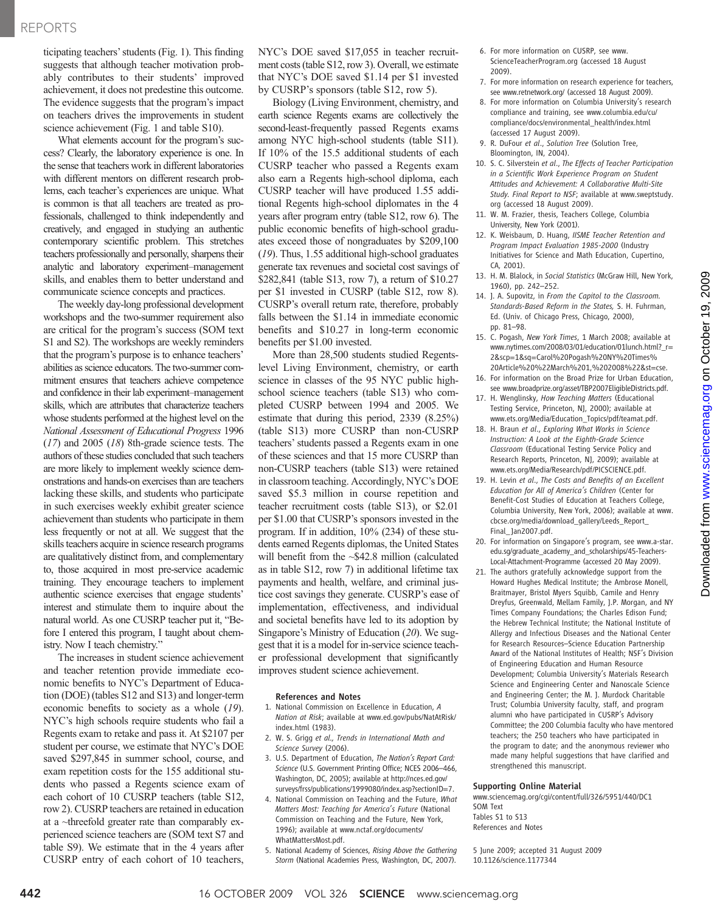ticipating teachers'students (Fig. 1). This finding suggests that although teacher motivation probably contributes to their students' improved achievement, it does not predestine this outcome. The evidence suggests that the program's impact on teachers drives the improvements in student science achievement (Fig. 1 and table S10).

What elements account for the program's success? Clearly, the laboratory experience is one. In the sense that teachers work in different laboratories with different mentors on different research problems, each teacher's experiences are unique. What is common is that all teachers are treated as professionals, challenged to think independently and creatively, and engaged in studying an authentic contemporary scientific problem. This stretches teachers professionally and personally, sharpens their analytic and laboratory experiment–management skills, and enables them to better understand and communicate science concepts and practices.

The weekly day-long professional development workshops and the two-summer requirement also are critical for the program's success (SOM text S1 and S2). The workshops are weekly reminders that the program's purpose is to enhance teachers' abilities as science educators. The two-summer commitment ensures that teachers achieve competence and confidence in their lab experiment–management skills, which are attributes that characterize teachers whose students performed at the highest level on the National Assessment of Educational Progress 1996 (17) and 2005 (18) 8th-grade science tests. The authors of these studies concluded that such teachers are more likely to implement weekly science demonstrations and hands-on exercises than are teachers lacking these skills, and students who participate in such exercises weekly exhibit greater science achievement than students who participate in them less frequently or not at all. We suggest that the skills teachers acquire in science research programs are qualitatively distinct from, and complementary to, those acquired in most pre-service academic training. They encourage teachers to implement authentic science exercises that engage students' interest and stimulate them to inquire about the natural world. As one CUSRP teacher put it, "Before I entered this program, I taught about chemistry. Now I teach chemistry."

The increases in student science achievement and teacher retention provide immediate economic benefits to NYC's Department of Education (DOE) (tables S12 and S13) and longer-term economic benefits to society as a whole (19). NYC's high schools require students who fail a Regents exam to retake and pass it. At \$2107 per student per course, we estimate that NYC's DOE saved \$297,845 in summer school, course, and exam repetition costs for the 155 additional students who passed a Regents science exam of each cohort of 10 CUSRP teachers (table S12, row 2). CUSRP teachers are retained in education at a ~threefold greater rate than comparably experienced science teachers are (SOM text S7 and table S9). We estimate that in the 4 years after CUSRP entry of each cohort of 10 teachers,

NYC's DOE saved \$17,055 in teacher recruitment costs (table S12, row 3). Overall, we estimate that NYC's DOE saved \$1.14 per \$1 invested by CUSRP's sponsors (table S12, row 5).

Biology (Living Environment, chemistry, and earth science Regents exams are collectively the second-least-frequently passed Regents exams among NYC high-school students (table S11). If 10% of the 15.5 additional students of each CUSRP teacher who passed a Regents exam also earn a Regents high-school diploma, each CUSRP teacher will have produced 1.55 additional Regents high-school diplomates in the 4 years after program entry (table S12, row 6). The public economic benefits of high-school graduates exceed those of nongraduates by \$209,100 (19). Thus, 1.55 additional high-school graduates generate tax revenues and societal cost savings of \$282,841 (table S13, row 7), a return of \$10.27 per \$1 invested in CUSRP (table S12, row 8). CUSRP's overall return rate, therefore, probably falls between the \$1.14 in immediate economic benefits and \$10.27 in long-term economic benefits per \$1.00 invested.

More than 28,500 students studied Regentslevel Living Environment, chemistry, or earth science in classes of the 95 NYC public highschool science teachers (table S13) who completed CUSRP between 1994 and 2005. We estimate that during this period, 2339 (8.25%) (table S13) more CUSRP than non-CUSRP teachers' students passed a Regents exam in one of these sciences and that 15 more CUSRP than non-CUSRP teachers (table S13) were retained in classroom teaching. Accordingly, NYC's DOE saved \$5.3 million in course repetition and teacher recruitment costs (table S13), or \$2.01 per \$1.00 that CUSRP's sponsors invested in the program. If in addition, 10% (234) of these students earned Regents diplomas, the United States will benefit from the ~\$42.8 million (calculated as in table S12, row 7) in additional lifetime tax payments and health, welfare, and criminal justice cost savings they generate. CUSRP's ease of implementation, effectiveness, and individual and societal benefits have led to its adoption by Singapore's Ministry of Education (20). We suggest that it is a model for in-service science teacher professional development that significantly improves student science achievement.

#### References and Notes

- 1. National Commission on Excellence in Education, A Nation at Risk; available at www.ed.gov/pubs/NatAtRisk/ index.html (1983).
- 2. W. S. Grigg et al., Trends in International Math and Science Survey (2006).
- 3. U.S. Department of Education, The Nation's Report Card: Science (U.S. Government Printing Office; NCES 2006–466, Washington, DC, 2005); available at http://nces.ed.gov/ surveys/frss/publications/1999080/index.asp?sectionID=7.
- 4. National Commission on Teaching and the Future, What Matters Most: Teaching for America's Future (National Commission on Teaching and the Future, New York, 1996); available at www.nctaf.org/documents/ WhatMattersMost.pdf.
- 5. National Academy of Sciences, Rising Above the Gathering Storm (National Academies Press, Washington, DC, 2007).
- 6. For more information on CUSRP, see www. ScienceTeacherProgram.org (accessed 18 August 2009).
- 7. For more information on research experience for teachers, see www.retnetwork.org/ (accessed 18 August 2009).
- 8. For more information on Columbia University's research compliance and training, see www.columbia.edu/cu/ compliance/docs/environmental\_health/index.html (accessed 17 August 2009).
- 9. R. DuFour et al., Solution Tree (Solution Tree, Bloomington, IN, 2004).
- 10. S. C. Silverstein et al., The Effects of Teacher Participation in a Scientific Work Experience Program on Student Attitudes and Achievement: A Collaborative Multi-Site Study. Final Report to NSF; available at www.sweptstudy. org (accessed 18 August 2009).
- 11. W. M. Frazier, thesis, Teachers College, Columbia University, New York (2001).
- 12. K. Weisbaum, D. Huang, IISME Teacher Retention and Program Impact Evaluation 1985-2000 (Industry Initiatives for Science and Math Education, Cupertino, CA, 2001).
- 13. H. M. Blalock, in Social Statistics (McGraw Hill, New York, 1960), pp. 242–252.
- 14. J. A. Supovitz, in From the Capitol to the Classroom. Standards-Based Reform in the States, S. H. Fuhrman, Ed. (Univ. of Chicago Press, Chicago, 2000), pp. 81–98.
- 15. C. Pogash, New York Times, 1 March 2008; available at www.nytimes.com/2008/03/01/education/01lunch.html?\_r= 2&scp=1&sq=Carol%20Pogash%20NY%20Times% 20Article%20%22March%201,%202008%22&st=cse.
- 16. For information on the Broad Prize for Urban Education, see www.broadprize.org/asset/TBP2007EligibleDistricts.pdf.
- 17. H. Wenglinsky, How Teaching Matters (Educational Testing Service, Princeton, NJ, 2000); available at www.ets.org/Media/Education\_Topics/pdf/teamat.pdf.
- 18. H. Braun et al., Exploring What Works in Science Instruction: A Look at the Eighth-Grade Science Classroom (Educational Testing Service Policy and Research Reports, Princeton, NJ, 2009); available at www.ets.org/Media/Research/pdf/PICSCIENCE.pdf.
- 19. H. Levin et al., The Costs and Benefits of an Excellent Education for All of America's Children (Center for Benefit-Cost Studies of Education at Teachers College, Columbia University, New York, 2006); available at www. cbcse.org/media/download\_gallery/Leeds\_Report\_ Final\_Jan2007.pdf.
- 20. For information on Singapore's program, see www.a-star. edu.sg/graduate\_academy\_and\_scholarships/45-Teachers-Local-Attachment-Programme (accessed 20 May 2009).
- 21. The authors gratefully acknowledge support from the Howard Hughes Medical Institute; the Ambrose Monell, Braitmayer, Bristol Myers Squibb, Camile and Henry Dreyfus, Greenwald, Mellam Family, J.P. Morgan, and NY Times Company Foundations; the Charles Edison Fund; the Hebrew Technical Institute; the National Institute of Allergy and Infectious Diseases and the National Center for Research Resources–Science Education Partnership Award of the National Institutes of Health; NSF's Division of Engineering Education and Human Resource Development; Columbia University's Materials Research Science and Engineering Center and Nanoscale Science and Engineering Center; the M. J. Murdock Charitable Trust; Columbia University faculty, staff, and program alumni who have participated in CUSRP's Advisory Committee; the 200 Columbia faculty who have mentored teachers; the 250 teachers who have participated in the program to date; and the anonymous reviewer who made many helpful suggestions that have clarified and strengthened this manuscript.

#### Supporting Online Material

www.sciencemag.org/cgi/content/full/326/5951/440/DC1 SOM Text Tables S1 to S13 References and Notes

5 June 2009; accepted 31 August 2009 10.1126/science.1177344